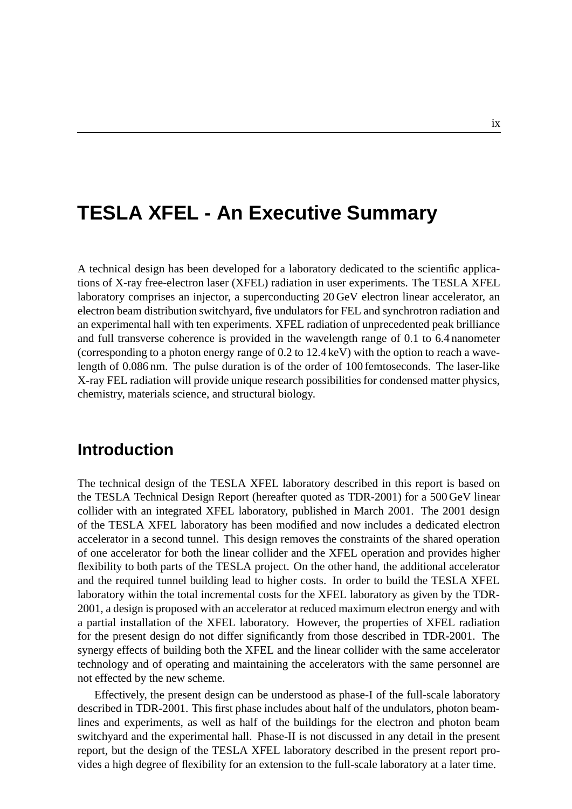# **TESLA XFEL - An Executive Summary**

A technical design has been developed for a laboratory dedicated to the scientific applications of X-ray free-electron laser (XFEL) radiation in user experiments. The TESLA XFEL laboratory comprises an injector, a superconducting 20 GeV electron linear accelerator, an electron beam distribution switchyard, five undulators for FEL and synchrotron radiation and an experimental hall with ten experiments. XFEL radiation of unprecedented peak brilliance and full transverse coherence is provided in the wavelength range of 0.1 to 6.4 nanometer (corresponding to a photon energy range of 0.2 to 12.4 keV) with the option to reach a wavelength of 0.086 nm. The pulse duration is of the order of 100 femtoseconds. The laser-like X-ray FEL radiation will provide unique research possibilities for condensed matter physics, chemistry, materials science, and structural biology.

### **Introduction**

The technical design of the TESLA XFEL laboratory described in this report is based on the TESLA Technical Design Report (hereafter quoted as TDR-2001) for a 500 GeV linear collider with an integrated XFEL laboratory, published in March 2001. The 2001 design of the TESLA XFEL laboratory has been modified and now includes a dedicated electron accelerator in a second tunnel. This design removes the constraints of the shared operation of one accelerator for both the linear collider and the XFEL operation and provides higher flexibility to both parts of the TESLA project. On the other hand, the additional accelerator and the required tunnel building lead to higher costs. In order to build the TESLA XFEL laboratory within the total incremental costs for the XFEL laboratory as given by the TDR-2001, a design is proposed with an accelerator at reduced maximum electron energy and with a partial installation of the XFEL laboratory. However, the properties of XFEL radiation for the present design do not differ significantly from those described in TDR-2001. The synergy effects of building both the XFEL and the linear collider with the same accelerator technology and of operating and maintaining the accelerators with the same personnel are not effected by the new scheme.

Effectively, the present design can be understood as phase-I of the full-scale laboratory described in TDR-2001. This first phase includes about half of the undulators, photon beamlines and experiments, as well as half of the buildings for the electron and photon beam switchyard and the experimental hall. Phase-II is not discussed in any detail in the present report, but the design of the TESLA XFEL laboratory described in the present report provides a high degree of flexibility for an extension to the full-scale laboratory at a later time.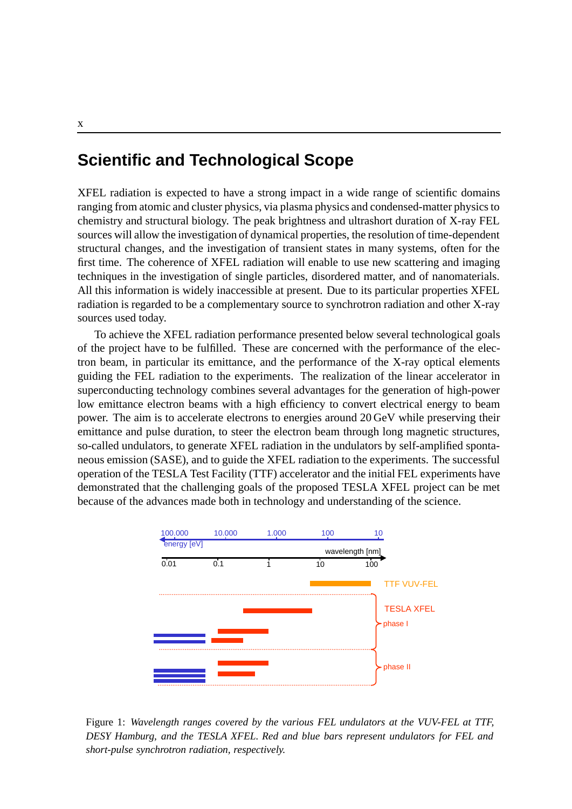#### **Scientific and Technological Scope**

XFEL radiation is expected to have a strong impact in a wide range of scientific domains ranging from atomic and cluster physics, via plasma physics and condensed-matter physics to chemistry and structural biology. The peak brightness and ultrashort duration of X-ray FEL sources will allow the investigation of dynamical properties, the resolution of time-dependent structural changes, and the investigation of transient states in many systems, often for the first time. The coherence of XFEL radiation will enable to use new scattering and imaging techniques in the investigation of single particles, disordered matter, and of nanomaterials. All this information is widely inaccessible at present. Due to its particular properties XFEL radiation is regarded to be a complementary source to synchrotron radiation and other X-ray sources used today.

To achieve the XFEL radiation performance presented below several technological goals of the project have to be fulfilled. These are concerned with the performance of the electron beam, in particular its emittance, and the performance of the X-ray optical elements guiding the FEL radiation to the experiments. The realization of the linear accelerator in superconducting technology combines several advantages for the generation of high-power low emittance electron beams with a high efficiency to convert electrical energy to beam power. The aim is to accelerate electrons to energies around 20 GeV while preserving their emittance and pulse duration, to steer the electron beam through long magnetic structures, so-called undulators, to generate XFEL radiation in the undulators by self-amplified spontaneous emission (SASE), and to guide the XFEL radiation to the experiments. The successful operation of the TESLA Test Facility (TTF) accelerator and the initial FEL experiments have demonstrated that the challenging goals of the proposed TESLA XFEL project can be met because of the advances made both in technology and understanding of the science.



Figure 1: *Wavelength ranges covered by the various FEL undulators at the VUV-FEL at TTF, DESY Hamburg, and the TESLA XFEL. Red and blue bars represent undulators for FEL and short-pulse synchrotron radiation, respectively.*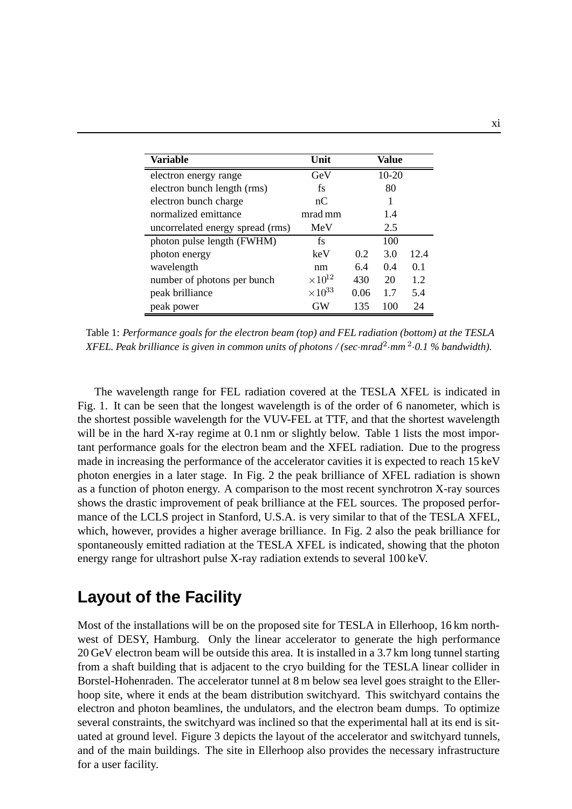| Variable                         | Unit             | Value |         |      |
|----------------------------------|------------------|-------|---------|------|
| electron energy range            | GeV              |       | $10-20$ |      |
| electron bunch length (rms)      | fs               |       | 80      |      |
| electron bunch charge            | nC               |       |         |      |
| normalized emittance             | mrad mm          |       | 1.4     |      |
| uncorrelated energy spread (rms) | MeV              |       | 2.5     |      |
| photon pulse length (FWHM)       | fs               |       | 100     |      |
| photon energy                    | keV              | 0.2   | 3.0     | 12.4 |
| wavelength                       | nm               | 6.4   | 0.4     | 0.1  |
| number of photons per bunch      | $\times 10^{12}$ | 430   | 20      | 1.2  |
| peak brilliance                  | $\times 10^{33}$ | 0.06  | 1.7     | 5.4  |
| peak power                       | GW               | 135   | 100     | 24   |

Table 1: *Performance goals for the electron beam (top) and FEL radiation (bottom) at the TESLA XFEL. Peak brilliance is given in common units of photons / (sec*·*mrad*2·*mm* <sup>2</sup>·*0.1 % bandwidth).*

The wavelength range for FEL radiation covered at the TESLA XFEL is indicated in Fig. 1. It can be seen that the longest wavelength is of the order of 6 nanometer, which is the shortest possible wavelength for the VUV-FEL at TTF, and that the shortest wavelength will be in the hard X-ray regime at 0.1 nm or slightly below. Table 1 lists the most important performance goals for the electron beam and the XFEL radiation. Due to the progress made in increasing the performance of the accelerator cavities it is expected to reach 15 keV photon energies in a later stage. In Fig. 2 the peak brilliance of XFEL radiation is shown as a function of photon energy. A comparison to the most recent synchrotron X-ray sources shows the drastic improvement of peak brilliance at the FEL sources. The proposed performance of the LCLS project in Stanford, U.S.A. is very similar to that of the TESLA XFEL, which, however, provides a higher average brilliance. In Fig. 2 also the peak brilliance for spontaneously emitted radiation at the TESLA XFEL is indicated, showing that the photon energy range for ultrashort pulse X-ray radiation extends to several 100 keV.

# **Layout of the Facility**

Most of the installations will be on the proposed site for TESLA in Ellerhoop, 16 km northwest of DESY, Hamburg. Only the linear accelerator to generate the high performance 20 GeV electron beam will be outside this area. It is installed in a 3.7 km long tunnel starting from a shaft building that is adjacent to the cryo building for the TESLA linear collider in Borstel-Hohenraden. The accelerator tunnel at 8 m below sea level goes straight to the Ellerhoop site, where it ends at the beam distribution switchyard. This switchyard contains the electron and photon beamlines, the undulators, and the electron beam dumps. To optimize several constraints, the switchyard was inclined so that the experimental hall at its end is situated at ground level. Figure 3 depicts the layout of the accelerator and switchyard tunnels, and of the main buildings. The site in Ellerhoop also provides the necessary infrastructure for a user facility.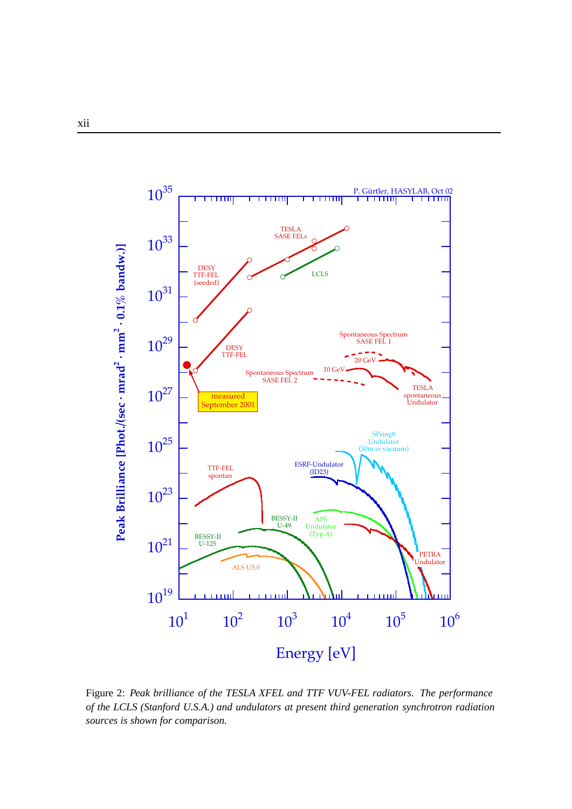

Figure 2: *Peak brilliance of the TESLA XFEL and TTF VUV-FEL radiators. The performance of the LCLS (Stanford U.S.A.) and undulators at present third generation synchrotron radiation sources is shown for comparison.*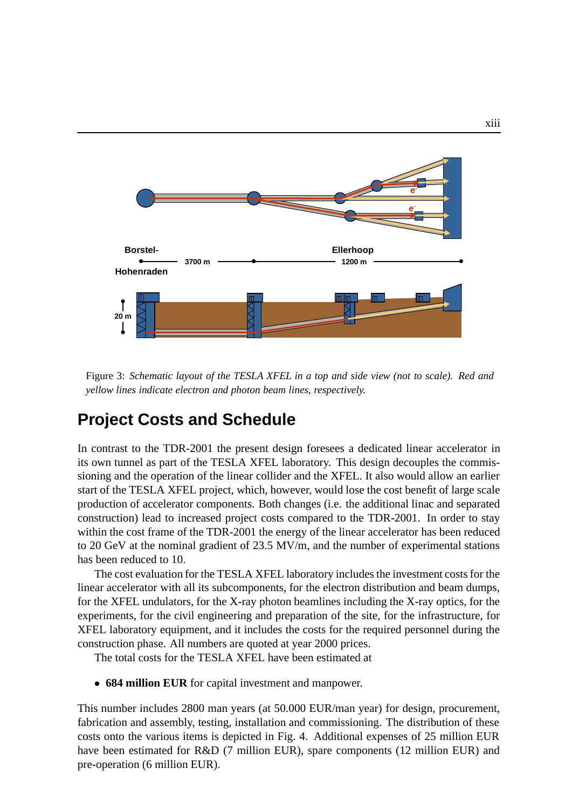

Figure 3: *Schematic layout of the TESLA XFEL in a top and side view (not to scale). Red and yellow lines indicate electron and photon beam lines, respectively.*

## **Project Costs and Schedule**

In contrast to the TDR-2001 the present design foresees a dedicated linear accelerator in its own tunnel as part of the TESLA XFEL laboratory. This design decouples the commissioning and the operation of the linear collider and the XFEL. It also would allow an earlier start of the TESLA XFEL project, which, however, would lose the cost benefit of large scale production of accelerator components. Both changes (i.e. the additional linac and separated construction) lead to increased project costs compared to the TDR-2001. In order to stay within the cost frame of the TDR-2001 the energy of the linear accelerator has been reduced to 20 GeV at the nominal gradient of 23.5 MV/m, and the number of experimental stations has been reduced to 10.

The cost evaluation for the TESLA XFEL laboratory includes the investment costs for the linear accelerator with all its subcomponents, for the electron distribution and beam dumps, for the XFEL undulators, for the X-ray photon beamlines including the X-ray optics, for the experiments, for the civil engineering and preparation of the site, for the infrastructure, for XFEL laboratory equipment, and it includes the costs for the required personnel during the construction phase. All numbers are quoted at year 2000 prices.

The total costs for the TESLA XFEL have been estimated at

• **684 million EUR** for capital investment and manpower.

This number includes 2800 man years (at 50.000 EUR/man year) for design, procurement, fabrication and assembly, testing, installation and commissioning. The distribution of these costs onto the various items is depicted in Fig. 4. Additional expenses of 25 million EUR have been estimated for R&D (7 million EUR), spare components (12 million EUR) and pre-operation (6 million EUR).